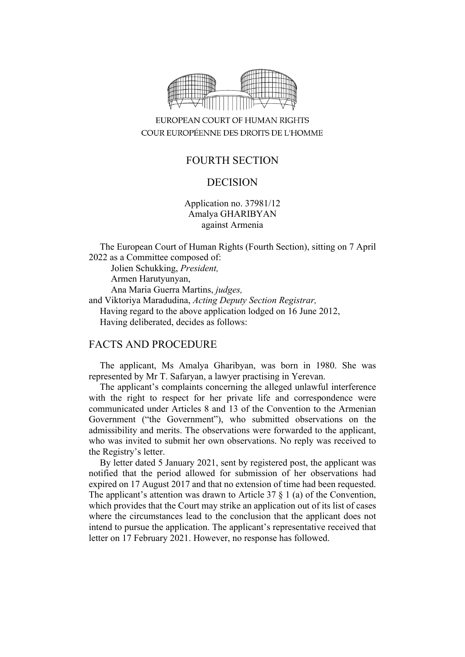

## EUROPEAN COURT OF HUMAN RIGHTS COUR EUROPÉENNE DES DROITS DE L'HOMME

# FOURTH SECTION

## DECISION

Application no. 37981/12 Amalya GHARIBYAN against Armenia

The European Court of Human Rights (Fourth Section), sitting on 7 April 2022 as a Committee composed of:

Jolien Schukking, *President,* Armen Harutyunyan, Ana Maria Guerra Martins, *judges,* and Viktoriya Maradudina, *Acting Deputy Section Registrar,* Having regard to the above application lodged on 16 June 2012, Having deliberated, decides as follows:

#### FACTS AND PROCEDURE

The applicant, Ms Amalya Gharibyan, was born in 1980. She was represented by Mr T. Safaryan, a lawyer practising in Yerevan.

The applicant's complaints concerning the alleged unlawful interference with the right to respect for her private life and correspondence were communicated under Articles 8 and 13 of the Convention to the Armenian Government ("the Government"), who submitted observations on the admissibility and merits. The observations were forwarded to the applicant, who was invited to submit her own observations. No reply was received to the Registry's letter.

By letter dated 5 January 2021, sent by registered post, the applicant was notified that the period allowed for submission of her observations had expired on 17 August 2017 and that no extension of time had been requested. The applicant's attention was drawn to Article 37  $\S$  1 (a) of the Convention, which provides that the Court may strike an application out of its list of cases where the circumstances lead to the conclusion that the applicant does not intend to pursue the application. The applicant's representative received that letter on 17 February 2021. However, no response has followed.